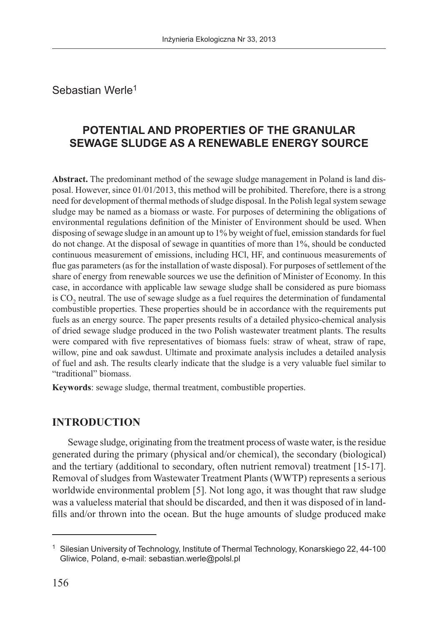Sebastian Werle<sup>1</sup>

# **POTENTIAL AND PROPERTIES OF THE GRANULAR SEWAGE SLUDGE AS A RENEWABLE ENERGY SOURCE**

**Abstract.** The predominant method of the sewage sludge management in Poland is land disposal. However, since 01/01/2013, this method will be prohibited. Therefore, there is a strong need for development of thermal methods of sludge disposal. In the Polish legal system sewage sludge may be named as a biomass or waste. For purposes of determining the obligations of environmental regulations definition of the Minister of Environment should be used. When disposing of sewage sludge in an amount up to 1% by weight of fuel, emission standards for fuel do not change. At the disposal of sewage in quantities of more than 1%, should be conducted continuous measurement of emissions, including HCl, HF, and continuous measurements of flue gas parameters (as for the installation of waste disposal). For purposes of settlement of the share of energy from renewable sources we use the definition of Minister of Economy. In this case, in accordance with applicable law sewage sludge shall be considered as pure biomass is  $CO<sub>2</sub>$  neutral. The use of sewage sludge as a fuel requires the determination of fundamental combustible properties. These properties should be in accordance with the requirements put fuels as an energy source. The paper presents results of a detailed physico-chemical analysis of dried sewage sludge produced in the two Polish wastewater treatment plants. The results were compared with five representatives of biomass fuels: straw of wheat, straw of rape, willow, pine and oak sawdust. Ultimate and proximate analysis includes a detailed analysis of fuel and ash. The results clearly indicate that the sludge is a very valuable fuel similar to "traditional" biomass.

**Keywords**: sewage sludge, thermal treatment, combustible properties.

## **INTRODUCTION**

Sewage sludge, originating from the treatment process of waste water, is the residue generated during the primary (physical and/or chemical), the secondary (biological) and the tertiary (additional to secondary, often nutrient removal) treatment [15-17]. Removal of sludges from Wastewater Treatment Plants (WWTP) represents a serious worldwide environmental problem [5]. Not long ago, it was thought that raw sludge was a valueless material that should be discarded, and then it was disposed of in landfills and/or thrown into the ocean. But the huge amounts of sludge produced make

<sup>1</sup> Silesian University of Technology, Institute of Thermal Technology, Konarskiego 22, 44-100 Gliwice, Poland, e-mail: sebastian.werle@polsl.pl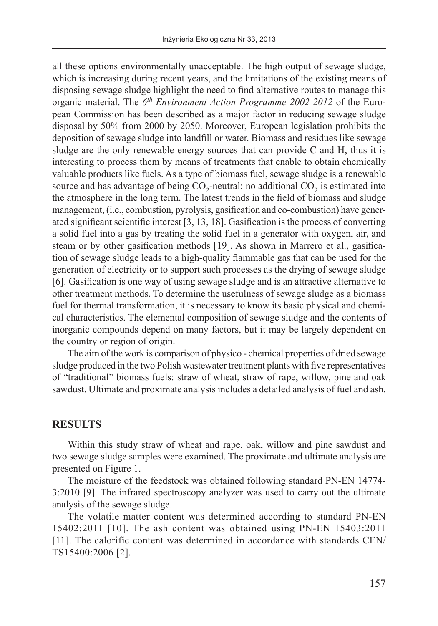all these options environmentally unacceptable. The high output of sewage sludge, which is increasing during recent years, and the limitations of the existing means of disposing sewage sludge highlight the need to find alternative routes to manage this organic material. The *6th Environment Action Programme 2002-2012* of the European Commission has been described as a major factor in reducing sewage sludge disposal by 50% from 2000 by 2050. Moreover, European legislation prohibits the deposition of sewage sludge into landfill or water. Biomass and residues like sewage sludge are the only renewable energy sources that can provide C and H, thus it is interesting to process them by means of treatments that enable to obtain chemically valuable products like fuels. As a type of biomass fuel, sewage sludge is a renewable source and has advantage of being CO<sub>2</sub>-neutral: no additional CO<sub>2</sub> is estimated into the atmosphere in the long term. The latest trends in the field of biomass and sludge management, (i.e., combustion, pyrolysis, gasification and co-combustion) have generated significant scientific interest [3, 13, 18]. Gasification is the process of converting a solid fuel into a gas by treating the solid fuel in a generator with oxygen, air, and steam or by other gasification methods [19]. As shown in Marrero et al., gasification of sewage sludge leads to a high-quality flammable gas that can be used for the generation of electricity or to support such processes as the drying of sewage sludge [6]. Gasification is one way of using sewage sludge and is an attractive alternative to other treatment methods. To determine the usefulness of sewage sludge as a biomass fuel for thermal transformation, it is necessary to know its basic physical and chemical characteristics. The elemental composition of sewage sludge and the contents of inorganic compounds depend on many factors, but it may be largely dependent on the country or region of origin.

The aim of the work is comparison of physico - chemical properties of dried sewage sludge produced in the two Polish wastewater treatment plants with five representatives of "traditional" biomass fuels: straw of wheat, straw of rape, willow, pine and oak sawdust. Ultimate and proximate analysis includes a detailed analysis of fuel and ash.

#### **RESULTS**

Within this study straw of wheat and rape, oak, willow and pine sawdust and two sewage sludge samples were examined. The proximate and ultimate analysis are presented on Figure 1.

The moisture of the feedstock was obtained following standard PN-EN 14774- 3:2010 [9]. The infrared spectroscopy analyzer was used to carry out the ultimate analysis of the sewage sludge.

The volatile matter content was determined according to standard PN-EN 15402:2011 [10]. The ash content was obtained using PN-EN 15403:2011 [11]. The calorific content was determined in accordance with standards CEN/ TS15400:2006 [2].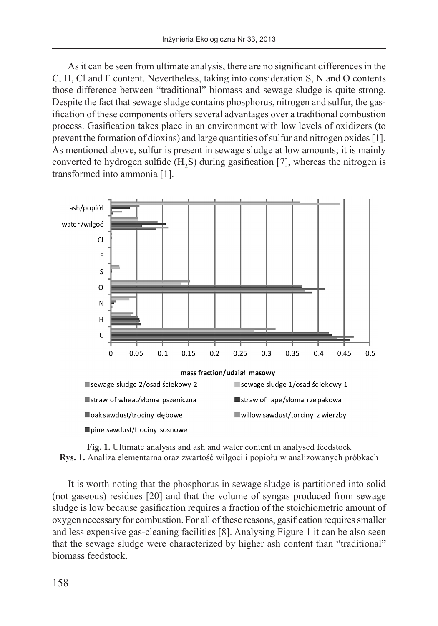As it can be seen from ultimate analysis, there are no significant differences in the C, H, Cl and F content. Nevertheless, taking into consideration S, N and O contents those difference between "traditional" biomass and sewage sludge is quite strong. Despite the fact that sewage sludge contains phosphorus, nitrogen and sulfur, the gasification of these components offers several advantages over a traditional combustion process. Gasification takes place in an environment with low levels of oxidizers (to prevent the formation of dioxins) and large quantities of sulfur and nitrogen oxides [1]. As mentioned above, sulfur is present in sewage sludge at low amounts; it is mainly converted to hydrogen sulfide  $(H<sub>2</sub>S)$  during gasification [7], whereas the nitrogen is transformed into ammonia [1].





It is worth noting that the phosphorus in sewage sludge is partitioned into solid (not gaseous) residues [20] and that the volume of syngas produced from sewage sludge is low because gasification requires a fraction of the stoichiometric amount of oxygen necessary for combustion. For all of these reasons, gasification requires smaller and less expensive gas-cleaning facilities [8]. Analysing Figure 1 it can be also seen that the sewage sludge were characterized by higher ash content than "traditional" biomass feedstock.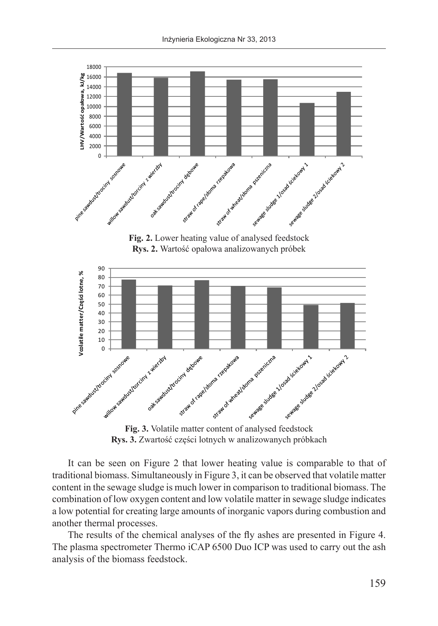

**Rys. 3.** Zwartość części lotnych w analizowanych próbkach

It can be seen on Figure 2 that lower heating value is comparable to that of traditional biomass. Simultaneously in Figure 3, it can be observed that volatile matter content in the sewage sludge is much lower in comparison to traditional biomass. The combination of low oxygen content and low volatile matter in sewage sludge indicates a low potential for creating large amounts of inorganic vapors during combustion and another thermal processes.

The results of the chemical analyses of the fly ashes are presented in Figure 4. The plasma spectrometer Thermo iCAP 6500 Duo ICP was used to carry out the ash analysis of the biomass feedstock.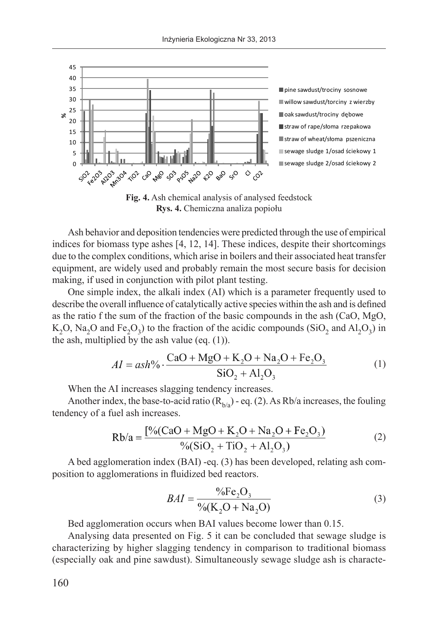

**Fig. 4.** Ash chemical analysis of analysed feedstock **Rys. 4.** Chemiczna analiza popiołu

Ash behavior and deposition tendencies were predicted through the use of empirical indices for biomass type ashes [4, 12, 14]. These indices, despite their shortcomings due to the complex conditions, which arise in boilers and their associated heat transfer equipment, are widely used and probably remain the most secure basis for decision making, if used in conjunction with pilot plant testing.

One simple index, the alkali index (AI) which is a parameter frequently used to describe the overall influence of catalytically active species within the ash and is defined as the ratio f the sum of the fraction of the basic compounds in the ash (CaO, MgO, K<sub>2</sub>O, Na<sub>2</sub>O and Fe<sub>2</sub>O<sub>3</sub>) to the fraction of the acidic compounds (SiO<sub>2</sub> and Al<sub>2</sub>O<sub>3</sub>) in the ash, multiplied by the ash value (eq.  $(1)$ ).

$$
AI = ash\% \cdot \frac{CaO + MgO + K_2O + Na_2O + Fe_2O_3}{SiO_2 + Al_2O_3}
$$
 (1)

When the AI increases slagging tendency increases.

Another index, the base-to-acid ratio  $(R<sub>b/a</sub>)$  - eq. (2). As Rb/a increases, the fouling tendency of a fuel ash increases.

$$
Rb/a = \frac{[\% (CaO + MgO + K_2O + Na_2O + Fe_2O_3)]}{\% (SiO_2 + TiO_2 + Al_2O_3)}
$$
(2)

A bed agglomeration index (BAI) -eq. (3) has been developed, relating ash composition to agglomerations in fluidized bed reactors.

$$
BAI = \frac{{}^{9}\!{\phi} \text{Fe}_2 \text{O}_3}{{}^{9}\!{\phi}(\text{K}_2 \text{O} + \text{Na}_2 \text{O})}
$$
 (3)

Bed agglomeration occurs when BAI values become lower than 0.15.

Analysing data presented on Fig. 5 it can be concluded that sewage sludge is characterizing by higher slagging tendency in comparison to traditional biomass (especially oak and pine sawdust). Simultaneously sewage sludge ash is characte-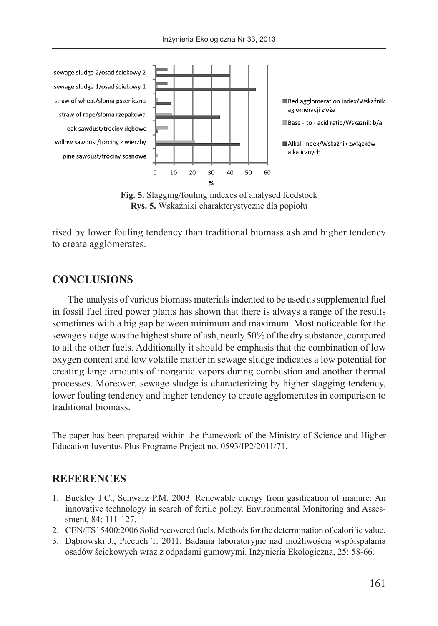

**Fig. 5.** Slagging/fouling indexes of analysed feedstock **Rys. 5.** Wskaźniki charakterystyczne dla popiołu

rised by lower fouling tendency than traditional biomass ash and higher tendency to create agglomerates.

# **CONCLUSIONS**

The analysis of various biomass materials indented to be used as supplemental fuel in fossil fuel fired power plants has shown that there is always a range of the results sometimes with a big gap between minimum and maximum. Most noticeable for the sewage sludge was the highest share of ash, nearly 50% of the dry substance, compared to all the other fuels. Additionally it should be emphasis that the combination of low oxygen content and low volatile matter in sewage sludge indicates a low potential for creating large amounts of inorganic vapors during combustion and another thermal processes. Moreover, sewage sludge is characterizing by higher slagging tendency, lower fouling tendency and higher tendency to create agglomerates in comparison to traditional biomass.

The paper has been prepared within the framework of the Ministry of Science and Higher Education Iuventus Plus Programe Project no. 0593/IP2/2011/71.

### **REFERENCES**

- 1. Buckley J.C., Schwarz P.M. 2003. Renewable energy from gasification of manure: An innovative technology in search of fertile policy. Environmental Monitoring and Assessment, 84: 111-127.
- 2. CEN/TS15400:2006 Solid recovered fuels. Methods for the determination of calorific value.
- 3. Dąbrowski J., Piecuch T. 2011. Badania laboratoryjne nad możliwością współspalania osadów ściekowych wraz z odpadami gumowymi. Inżynieria Ekologiczna, 25: 58-66.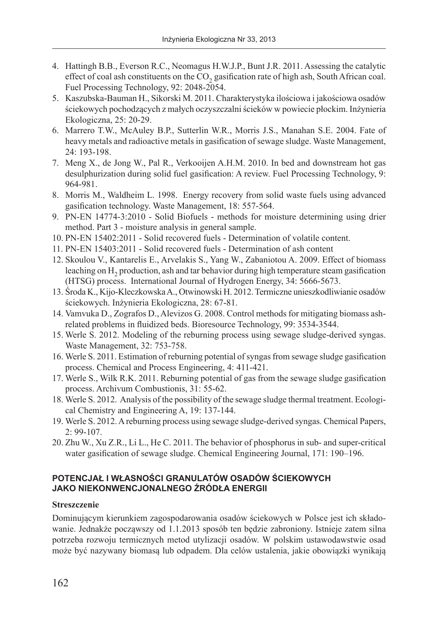- 4. Hattingh B.B., Everson R.C., Neomagus H.W.J.P., Bunt J.R. 2011. Assessing the catalytic effect of coal ash constituents on the  $CO<sub>2</sub>$  gasification rate of high ash, South African coal. Fuel Processing Technology, 92: 2048-2054.
- 5. Kaszubska-Bauman H., Sikorski M. 2011. Charakterystyka ilościowa i jakościowa osadów ściekowych pochodzących z małych oczyszczalni ścieków w powiecie płockim. Inżynieria Ekologiczna, 25: 20-29.
- 6. Marrero T.W., McAuley B.P., Sutterlin W.R., Morris J.S., Manahan S.E. 2004. Fate of heavy metals and radioactive metals in gasification of sewage sludge. Waste Management, 24: 193-198.
- 7. Meng X., de Jong W., Pal R., Verkooijen A.H.M. 2010. In bed and downstream hot gas desulphurization during solid fuel gasification: A review. Fuel Processing Technology, 9: 964-981.
- 8. Morris M., Waldheim L. 1998. Energy recovery from solid waste fuels using advanced gasification technology. Waste Management, 18: 557-564.
- 9. PN-EN 14774-3:2010 Solid Biofuels methods for moisture determining using drier method. Part 3 - moisture analysis in general sample.
- 10. PN-EN 15402:2011 Solid recovered fuels Determination of volatile content.
- 11. PN-EN 15403:2011 Solid recovered fuels Determination of ash content
- 12. Skoulou V., Kantarelis E., Arvelakis S., Yang W., Zabaniotou A. 2009. Effect of biomass leaching on  $H<sub>2</sub>$  production, ash and tar behavior during high temperature steam gasification (HTSG) process. International Journal of Hydrogen Energy, 34: 5666-5673.
- 13. Środa K., Kijo-Kleczkowska A., Otwinowski H. 2012. Termiczne unieszkodliwianie osadów ściekowych. Inżynieria Ekologiczna, 28: 67-81.
- 14. Vamvuka D., Zografos D., Alevizos G. 2008. Control methods for mitigating biomass ashrelated problems in fluidized beds. Bioresource Technology, 99: 3534-3544.
- 15. Werle S. 2012. Modeling of the reburning process using sewage sludge-derived syngas. Waste Management, 32: 753-758.
- 16. Werle S. 2011. Estimation of reburning potential of syngas from sewage sludge gasification process. Chemical and Process Engineering, 4: 411-421.
- 17. Werle S., Wilk R.K. 2011. Reburning potential of gas from the sewage sludge gasification process. Archivum Combustionis, 31: 55-62.
- 18. Werle S. 2012. Analysis of the possibility of the sewage sludge thermal treatment. Ecological Chemistry and Engineering A, 19: 137-144.
- 19. Werle S. 2012. A reburning process using sewage sludge-derived syngas. Chemical Papers, 2: 99-107.
- 20. Zhu W., Xu Z.R., Li L., He C. 2011. The behavior of phosphorus in sub- and super-critical water gasification of sewage sludge. Chemical Engineering Journal, 171: 190–196.

### **POTENCJAŁ I WŁASNOŚCI GRANULATÓW OSADÓW ŚCIEKOWYCH JAKO NIEKONWENCJONALNEGO ŹRÓDŁA ENERGII**

#### **Streszczenie**

Dominującym kierunkiem zagospodarowania osadów ściekowych w Polsce jest ich składowanie. Jednakże począwszy od 1.1.2013 sposób ten będzie zabroniony. Istnieje zatem silna potrzeba rozwoju termicznych metod utylizacji osadów. W polskim ustawodawstwie osad może być nazywany biomasą lub odpadem. Dla celów ustalenia, jakie obowiązki wynikają